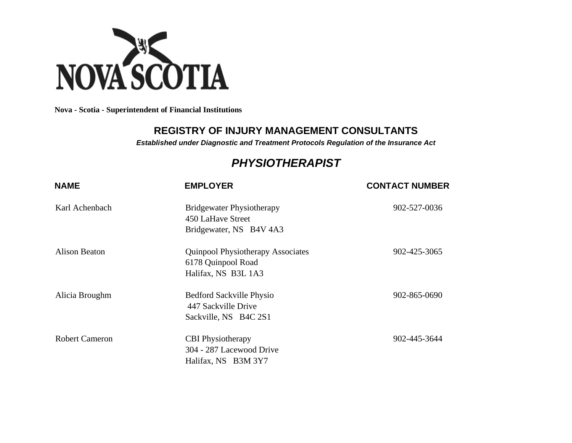

**Nova - Scotia - Superintendent of Financial Institutions**

## **REGISTRY OF INJURY MANAGEMENT CONSULTANTS**

*Established under Diagnostic and Treatment Protocols Regulation of the Insurance Act*

## *PHYSIOTHERAPIST*

| <b>NAME</b>           | <b>EMPLOYER</b>                                                                       | <b>CONTACT NUMBER</b> |
|-----------------------|---------------------------------------------------------------------------------------|-----------------------|
| Karl Achenbach        | <b>Bridgewater Physiotherapy</b><br>450 LaHave Street<br>Bridgewater, NS B4V 4A3      | 902-527-0036          |
| <b>Alison Beaton</b>  | <b>Quinpool Physiotherapy Associates</b><br>6178 Quinpool Road<br>Halifax, NS B3L 1A3 | 902-425-3065          |
| Alicia Broughm        | <b>Bedford Sackville Physio</b><br>447 Sackville Drive<br>Sackville, NS B4C 2S1       | 902-865-0690          |
| <b>Robert Cameron</b> | <b>CBI</b> Physiotherapy<br>304 - 287 Lacewood Drive<br>Halifax, NS B3M 3Y7           | 902-445-3644          |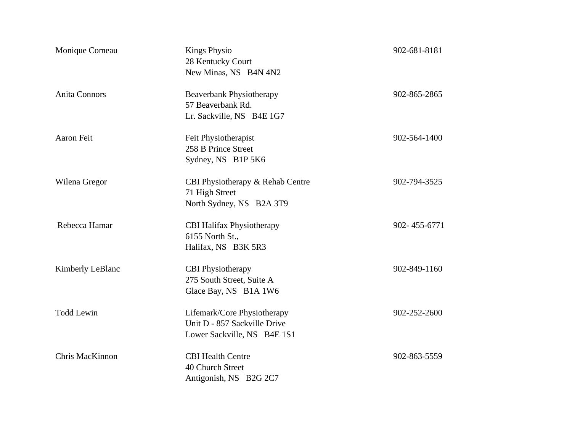| Monique Comeau          | <b>Kings Physio</b><br>28 Kentucky Court<br>New Minas, NS B4N 4N2                          | 902-681-8181 |
|-------------------------|--------------------------------------------------------------------------------------------|--------------|
| <b>Anita Connors</b>    | <b>Beaverbank Physiotherapy</b><br>57 Beaverbank Rd.<br>Lr. Sackville, NS B4E 1G7          | 902-865-2865 |
| <b>Aaron Feit</b>       | Feit Physiotherapist<br>258 B Prince Street<br>Sydney, NS B1P 5K6                          | 902-564-1400 |
| Wilena Gregor           | CBI Physiotherapy & Rehab Centre<br>71 High Street<br>North Sydney, NS B2A 3T9             | 902-794-3525 |
| Rebecca Hamar           | <b>CBI Halifax Physiotherapy</b><br>6155 North St.,<br>Halifax, NS B3K 5R3                 | 902-455-6771 |
| <b>Kimberly LeBlanc</b> | <b>CBI</b> Physiotherapy<br>275 South Street, Suite A<br>Glace Bay, NS B1A 1W6             | 902-849-1160 |
| <b>Todd Lewin</b>       | Lifemark/Core Physiotherapy<br>Unit D - 857 Sackville Drive<br>Lower Sackville, NS B4E 1S1 | 902-252-2600 |
| Chris MacKinnon         | <b>CBI Health Centre</b><br>40 Church Street<br>Antigonish, NS B2G 2C7                     | 902-863-5559 |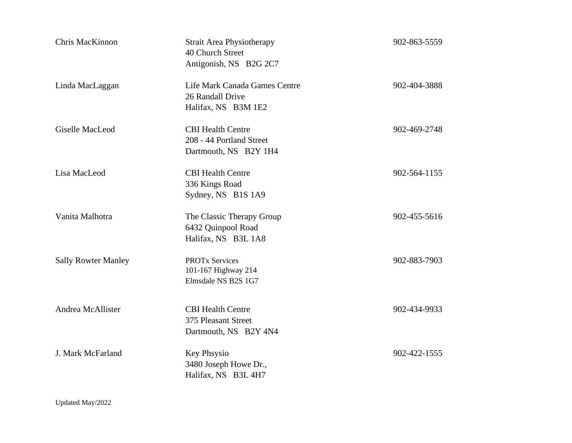| Chris MacKinnon            | <b>Strait Area Physiotherapy</b><br>40 Church Street<br>Antigonish, NS B2G 2C7 | 902-863-5559 |
|----------------------------|--------------------------------------------------------------------------------|--------------|
| Linda MacLaggan            | Life Mark Canada Games Centre<br>26 Randall Drive<br>Halifax, NS B3M 1E2       | 902-404-3888 |
| <b>Giselle MacLeod</b>     | <b>CBI Health Centre</b><br>208 - 44 Portland Street<br>Dartmouth, NS B2Y 1H4  | 902-469-2748 |
| Lisa MacLeod               | <b>CBI Health Centre</b><br>336 Kings Road<br>Sydney, NS B1S 1A9               | 902-564-1155 |
| Vanita Malhotra            | The Classic Therapy Group<br>6432 Quinpool Road<br>Halifax, NS B3L 1A8         | 902-455-5616 |
| <b>Sally Rowter Manley</b> | <b>PROTx Services</b><br>101-167 Highway 214<br>Elmsdale NS B2S 1G7            | 902-883-7903 |
| Andrea McAllister          | <b>CBI Health Centre</b><br>375 Pleasant Street<br>Dartmouth, NS B2Y 4N4       | 902-434-9933 |
| J. Mark McFarland          | Key Phsysio<br>3480 Joseph Howe Dr.,<br>Halifax, NS B3L 4H7                    | 902-422-1555 |

Updated May/2022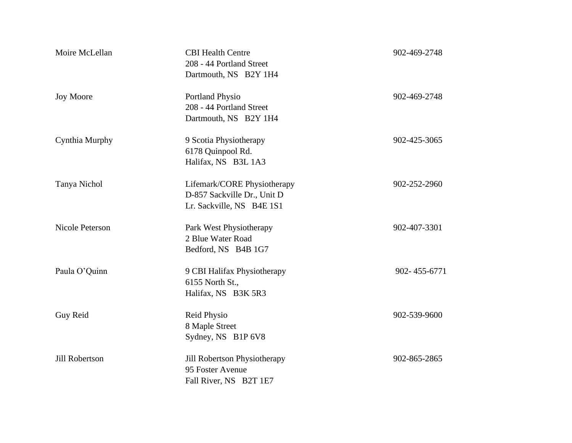| Moire McLellan         | <b>CBI Health Centre</b><br>208 - 44 Portland Street<br>Dartmouth, NS B2Y 1H4           | 902-469-2748 |
|------------------------|-----------------------------------------------------------------------------------------|--------------|
| <b>Joy Moore</b>       | Portland Physio<br>208 - 44 Portland Street<br>Dartmouth, NS B2Y 1H4                    | 902-469-2748 |
| Cynthia Murphy         | 9 Scotia Physiotherapy<br>6178 Quinpool Rd.<br>Halifax, NS B3L 1A3                      | 902-425-3065 |
| Tanya Nichol           | Lifemark/CORE Physiotherapy<br>D-857 Sackville Dr., Unit D<br>Lr. Sackville, NS B4E 1S1 | 902-252-2960 |
| <b>Nicole Peterson</b> | Park West Physiotherapy<br>2 Blue Water Road<br>Bedford, NS B4B 1G7                     | 902-407-3301 |
| Paula O'Quinn          | 9 CBI Halifax Physiotherapy<br>6155 North St.,<br>Halifax, NS B3K 5R3                   | 902-455-6771 |
| Guy Reid               | <b>Reid Physio</b><br>8 Maple Street<br>Sydney, NS B1P 6V8                              | 902-539-9600 |
| Jill Robertson         | Jill Robertson Physiotherapy<br>95 Foster Avenue<br>Fall River, NS B2T 1E7              | 902-865-2865 |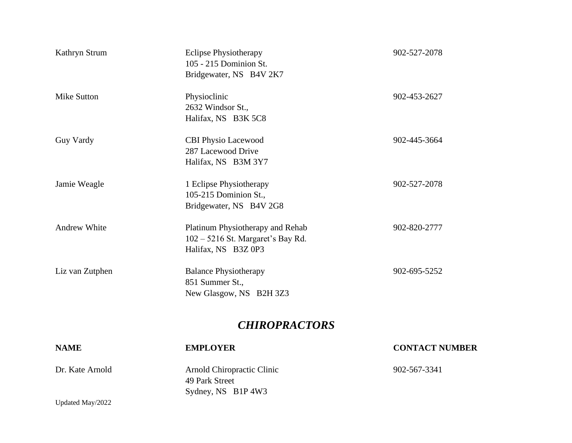| Kathryn Strum       | <b>Eclipse Physiotherapy</b><br>105 - 215 Dominion St.<br>Bridgewater, NS B4V 2K7              | 902-527-2078 |
|---------------------|------------------------------------------------------------------------------------------------|--------------|
| Mike Sutton         | Physioclinic<br>2632 Windsor St.,<br>Halifax, NS B3K 5C8                                       | 902-453-2627 |
| <b>Guy Vardy</b>    | <b>CBI Physio Lacewood</b><br>287 Lacewood Drive<br>Halifax, NS B3M 3Y7                        | 902-445-3664 |
| Jamie Weagle        | 1 Eclipse Physiotherapy<br>105-215 Dominion St.,<br>Bridgewater, NS B4V 2G8                    | 902-527-2078 |
| <b>Andrew White</b> | Platinum Physiotherapy and Rehab<br>$102 - 5216$ St. Margaret's Bay Rd.<br>Halifax, NS B3Z 0P3 | 902-820-2777 |
| Liz van Zutphen     | <b>Balance Physiotherapy</b><br>851 Summer St.,<br>New Glasgow, NS B2H 3Z3                     | 902-695-5252 |
|                     | <b>CHIROPRACTORS</b>                                                                           |              |

## Updated May/2022 **NAME EMPLOYER CONTACT NUMBER** Dr. Kate Arnold Arnold Chiropractic Clinic 902-567-3341 49 Park Street Sydney, NS B1P 4W3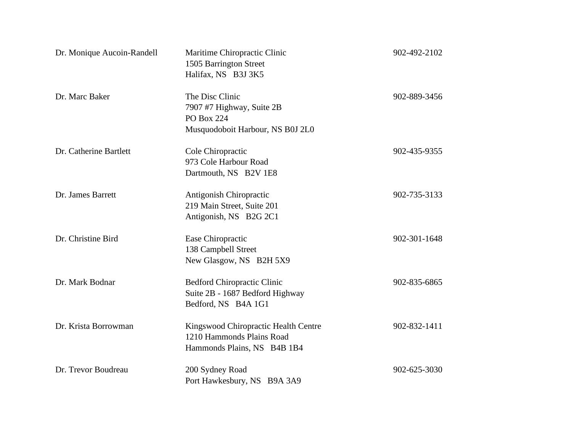| Dr. Monique Aucoin-Randell | Maritime Chiropractic Clinic<br>1505 Barrington Street<br>Halifax, NS B3J 3K5                    | 902-492-2102 |
|----------------------------|--------------------------------------------------------------------------------------------------|--------------|
| Dr. Marc Baker             | The Disc Clinic<br>7907 #7 Highway, Suite 2B<br>PO Box 224<br>Musquodoboit Harbour, NS B0J 2L0   | 902-889-3456 |
| Dr. Catherine Bartlett     | Cole Chiropractic<br>973 Cole Harbour Road<br>Dartmouth, NS B2V 1E8                              | 902-435-9355 |
| Dr. James Barrett          | Antigonish Chiropractic<br>219 Main Street, Suite 201<br>Antigonish, NS B2G 2C1                  | 902-735-3133 |
| Dr. Christine Bird         | Ease Chiropractic<br>138 Campbell Street<br>New Glasgow, NS B2H 5X9                              | 902-301-1648 |
| Dr. Mark Bodnar            | <b>Bedford Chiropractic Clinic</b><br>Suite 2B - 1687 Bedford Highway<br>Bedford, NS B4A 1G1     | 902-835-6865 |
| Dr. Krista Borrowman       | Kingswood Chiropractic Health Centre<br>1210 Hammonds Plains Road<br>Hammonds Plains, NS B4B 1B4 | 902-832-1411 |
| Dr. Trevor Boudreau        | 200 Sydney Road<br>Port Hawkesbury, NS B9A 3A9                                                   | 902-625-3030 |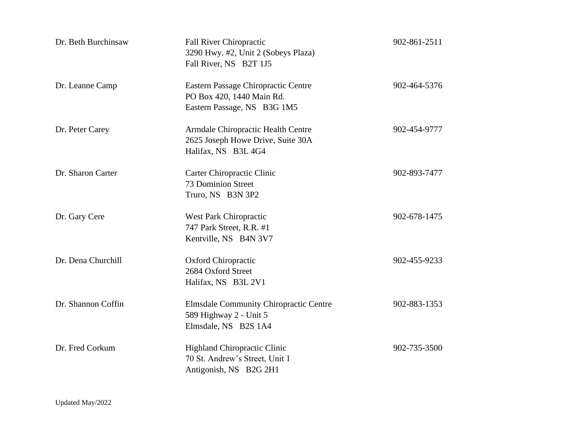| Dr. Beth Burchinsaw | <b>Fall River Chiropractic</b><br>3290 Hwy. #2, Unit 2 (Sobeys Plaza)<br>Fall River, NS B2T 1J5 | 902-861-2511 |
|---------------------|-------------------------------------------------------------------------------------------------|--------------|
| Dr. Leanne Camp     | Eastern Passage Chiropractic Centre<br>PO Box 420, 1440 Main Rd.<br>Eastern Passage, NS B3G 1M5 | 902-464-5376 |
| Dr. Peter Carey     | Armdale Chiropractic Health Centre<br>2625 Joseph Howe Drive, Suite 30A<br>Halifax, NS B3L 4G4  | 902-454-9777 |
| Dr. Sharon Carter   | Carter Chiropractic Clinic<br><b>73 Dominion Street</b><br>Truro, NS B3N 3P2                    | 902-893-7477 |
| Dr. Gary Cere       | <b>West Park Chiropractic</b><br>747 Park Street, R.R. #1<br>Kentville, NS B4N 3V7              | 902-678-1475 |
| Dr. Dena Churchill  | Oxford Chiropractic<br>2684 Oxford Street<br>Halifax, NS B3L 2V1                                | 902-455-9233 |
| Dr. Shannon Coffin  | <b>Elmsdale Community Chiropractic Centre</b><br>589 Highway 2 - Unit 5<br>Elmsdale, NS B2S 1A4 | 902-883-1353 |
| Dr. Fred Corkum     | <b>Highland Chiropractic Clinic</b><br>70 St. Andrew's Street, Unit 1<br>Antigonish, NS B2G 2H1 | 902-735-3500 |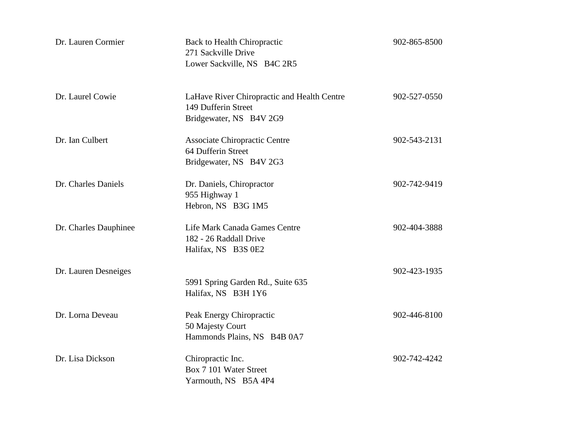| Dr. Lauren Cormier    | <b>Back to Health Chiropractic</b><br>271 Sackville Drive<br>Lower Sackville, NS B4C 2R5      | 902-865-8500 |
|-----------------------|-----------------------------------------------------------------------------------------------|--------------|
| Dr. Laurel Cowie      | LaHave River Chiropractic and Health Centre<br>149 Dufferin Street<br>Bridgewater, NS B4V 2G9 | 902-527-0550 |
| Dr. Ian Culbert       | Associate Chiropractic Centre<br>64 Dufferin Street<br>Bridgewater, NS B4V 2G3                | 902-543-2131 |
| Dr. Charles Daniels   | Dr. Daniels, Chiropractor<br>955 Highway 1<br>Hebron, NS B3G 1M5                              | 902-742-9419 |
| Dr. Charles Dauphinee | Life Mark Canada Games Centre<br>182 - 26 Raddall Drive<br>Halifax, NS B3S 0E2                | 902-404-3888 |
| Dr. Lauren Desneiges  | 5991 Spring Garden Rd., Suite 635<br>Halifax, NS B3H 1Y6                                      | 902-423-1935 |
| Dr. Lorna Deveau      | Peak Energy Chiropractic<br>50 Majesty Court<br>Hammonds Plains, NS B4B 0A7                   | 902-446-8100 |
| Dr. Lisa Dickson      | Chiropractic Inc.<br>Box 7 101 Water Street<br>Yarmouth, NS B5A 4P4                           | 902-742-4242 |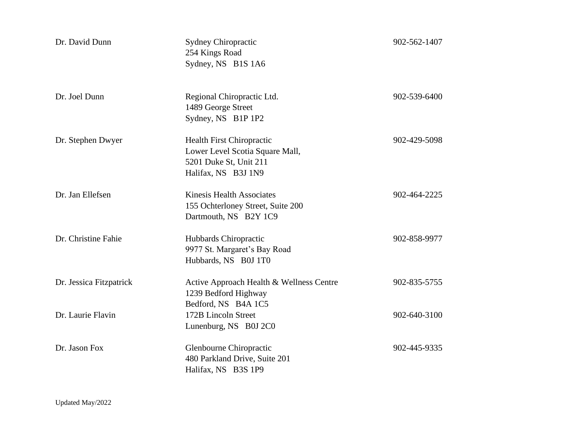| Dr. David Dunn          | <b>Sydney Chiropractic</b><br>254 Kings Road<br>Sydney, NS B1S 1A6                                                   | 902-562-1407 |
|-------------------------|----------------------------------------------------------------------------------------------------------------------|--------------|
| Dr. Joel Dunn           | Regional Chiropractic Ltd.<br>1489 George Street<br>Sydney, NS B1P 1P2                                               | 902-539-6400 |
| Dr. Stephen Dwyer       | <b>Health First Chiropractic</b><br>Lower Level Scotia Square Mall,<br>5201 Duke St, Unit 211<br>Halifax, NS B3J 1N9 | 902-429-5098 |
| Dr. Jan Ellefsen        | <b>Kinesis Health Associates</b><br>155 Ochterloney Street, Suite 200<br>Dartmouth, NS B2Y 1C9                       | 902-464-2225 |
| Dr. Christine Fahie     | Hubbards Chiropractic<br>9977 St. Margaret's Bay Road<br>Hubbards, NS B0J 1T0                                        | 902-858-9977 |
| Dr. Jessica Fitzpatrick | Active Approach Health & Wellness Centre<br>1239 Bedford Highway<br>Bedford, NS B4A 1C5                              | 902-835-5755 |
| Dr. Laurie Flavin       | 172B Lincoln Street<br>Lunenburg, NS B0J 2C0                                                                         | 902-640-3100 |
| Dr. Jason Fox           | Glenbourne Chiropractic<br>480 Parkland Drive, Suite 201<br>Halifax, NS B3S 1P9                                      | 902-445-9335 |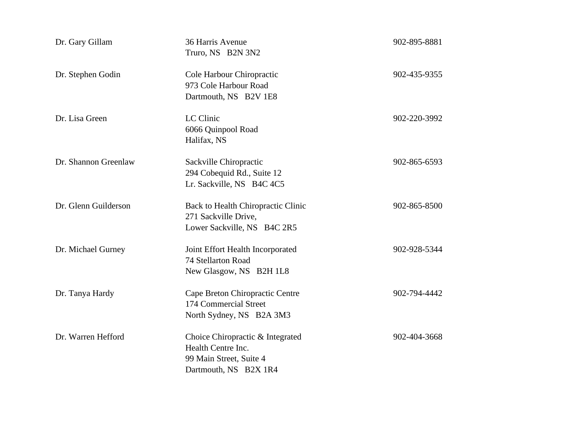| Dr. Gary Gillam      | 36 Harris Avenue<br>Truro, NS B2N 3N2                                                                      | 902-895-8881 |
|----------------------|------------------------------------------------------------------------------------------------------------|--------------|
| Dr. Stephen Godin    | Cole Harbour Chiropractic<br>973 Cole Harbour Road<br>Dartmouth, NS B2V 1E8                                | 902-435-9355 |
| Dr. Lisa Green       | LC Clinic<br>6066 Quinpool Road<br>Halifax, NS                                                             | 902-220-3992 |
| Dr. Shannon Greenlaw | Sackville Chiropractic<br>294 Cobequid Rd., Suite 12<br>Lr. Sackville, NS B4C 4C5                          | 902-865-6593 |
| Dr. Glenn Guilderson | Back to Health Chiropractic Clinic<br>271 Sackville Drive,<br>Lower Sackville, NS B4C 2R5                  | 902-865-8500 |
| Dr. Michael Gurney   | Joint Effort Health Incorporated<br>74 Stellarton Road<br>New Glasgow, NS B2H 1L8                          | 902-928-5344 |
| Dr. Tanya Hardy      | Cape Breton Chiropractic Centre<br>174 Commercial Street<br>North Sydney, NS B2A 3M3                       | 902-794-4442 |
| Dr. Warren Hefford   | Choice Chiropractic & Integrated<br>Health Centre Inc.<br>99 Main Street, Suite 4<br>Dartmouth, NS B2X 1R4 | 902-404-3668 |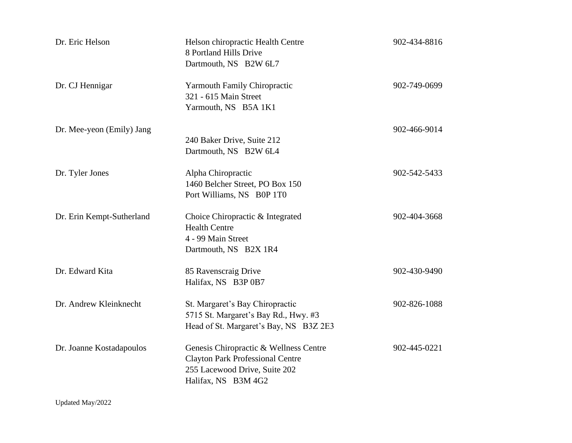| Dr. Eric Helson           | Helson chiropractic Health Centre<br>8 Portland Hills Drive<br>Dartmouth, NS B2W 6L7                                                      | 902-434-8816 |
|---------------------------|-------------------------------------------------------------------------------------------------------------------------------------------|--------------|
| Dr. CJ Hennigar           | <b>Yarmouth Family Chiropractic</b><br>321 - 615 Main Street<br>Yarmouth, NS B5A 1K1                                                      | 902-749-0699 |
| Dr. Mee-yeon (Emily) Jang | 240 Baker Drive, Suite 212<br>Dartmouth, NS B2W 6L4                                                                                       | 902-466-9014 |
| Dr. Tyler Jones           | Alpha Chiropractic<br>1460 Belcher Street, PO Box 150<br>Port Williams, NS B0P 1T0                                                        | 902-542-5433 |
| Dr. Erin Kempt-Sutherland | Choice Chiropractic & Integrated<br><b>Health Centre</b><br>4 - 99 Main Street<br>Dartmouth, NS B2X 1R4                                   | 902-404-3668 |
| Dr. Edward Kita           | 85 Ravenscraig Drive<br>Halifax, NS B3P 0B7                                                                                               | 902-430-9490 |
| Dr. Andrew Kleinknecht    | St. Margaret's Bay Chiropractic<br>5715 St. Margaret's Bay Rd., Hwy. #3<br>Head of St. Margaret's Bay, NS B3Z 2E3                         | 902-826-1088 |
| Dr. Joanne Kostadapoulos  | Genesis Chiropractic & Wellness Centre<br><b>Clayton Park Professional Centre</b><br>255 Lacewood Drive, Suite 202<br>Halifax, NS B3M 4G2 | 902-445-0221 |

Updated May/2022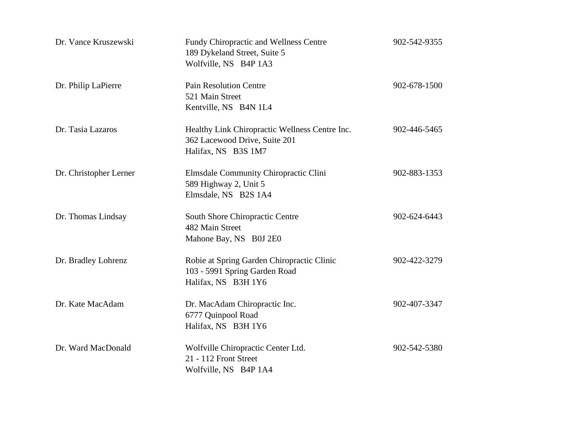| Dr. Vance Kruszewski   | Fundy Chiropractic and Wellness Centre<br>189 Dykeland Street, Suite 5<br>Wolfville, NS B4P 1A3        | 902-542-9355 |
|------------------------|--------------------------------------------------------------------------------------------------------|--------------|
| Dr. Philip LaPierre    | <b>Pain Resolution Centre</b><br>521 Main Street<br>Kentville, NS B4N 1L4                              | 902-678-1500 |
| Dr. Tasia Lazaros      | Healthy Link Chiropractic Wellness Centre Inc.<br>362 Lacewood Drive, Suite 201<br>Halifax, NS B3S 1M7 | 902-446-5465 |
| Dr. Christopher Lerner | Elmsdale Community Chiropractic Clini<br>589 Highway 2, Unit 5<br>Elmsdale, NS B2S 1A4                 | 902-883-1353 |
| Dr. Thomas Lindsay     | South Shore Chiropractic Centre<br>482 Main Street<br>Mahone Bay, NS B0J 2E0                           | 902-624-6443 |
| Dr. Bradley Lohrenz    | Robie at Spring Garden Chiropractic Clinic<br>103 - 5991 Spring Garden Road<br>Halifax, NS B3H 1Y6     | 902-422-3279 |
| Dr. Kate MacAdam       | Dr. MacAdam Chiropractic Inc.<br>6777 Quinpool Road<br>Halifax, NS B3H 1Y6                             | 902-407-3347 |
| Dr. Ward MacDonald     | Wolfville Chiropractic Center Ltd.<br>21 - 112 Front Street<br>Wolfville, NS B4P 1A4                   | 902-542-5380 |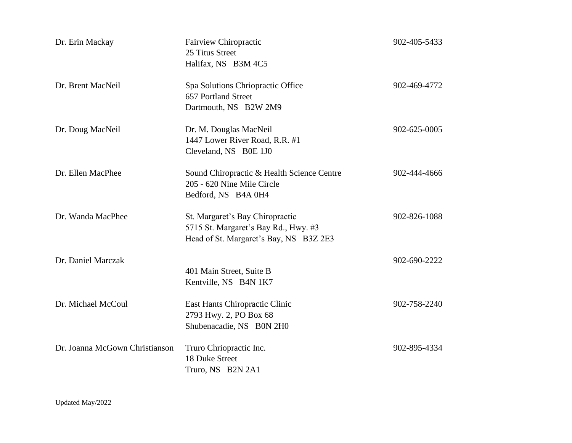| Dr. Erin Mackay                | <b>Fairview Chiropractic</b><br>25 Titus Street<br>Halifax, NS B3M 4C5                                            | 902-405-5433 |
|--------------------------------|-------------------------------------------------------------------------------------------------------------------|--------------|
| Dr. Brent MacNeil              | Spa Solutions Chriopractic Office<br>657 Portland Street<br>Dartmouth, NS B2W 2M9                                 | 902-469-4772 |
| Dr. Doug MacNeil               | Dr. M. Douglas MacNeil<br>1447 Lower River Road, R.R. #1<br>Cleveland, NS B0E 1J0                                 | 902-625-0005 |
| Dr. Ellen MacPhee              | Sound Chiropractic & Health Science Centre<br>205 - 620 Nine Mile Circle<br>Bedford, NS B4A 0H4                   | 902-444-4666 |
| Dr. Wanda MacPhee              | St. Margaret's Bay Chiropractic<br>5715 St. Margaret's Bay Rd., Hwy. #3<br>Head of St. Margaret's Bay, NS B3Z 2E3 | 902-826-1088 |
| Dr. Daniel Marczak             | 401 Main Street, Suite B<br>Kentville, NS B4N 1K7                                                                 | 902-690-2222 |
| Dr. Michael McCoul             | East Hants Chiropractic Clinic<br>2793 Hwy. 2, PO Box 68<br>Shubenacadie, NS B0N 2H0                              | 902-758-2240 |
| Dr. Joanna McGown Christianson | Truro Chriopractic Inc.<br>18 Duke Street<br>Truro, NS B2N 2A1                                                    | 902-895-4334 |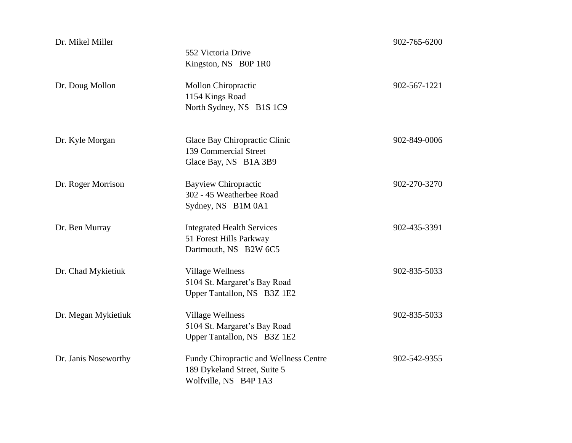| Dr. Mikel Miller     | 552 Victoria Drive<br>Kingston, NS B0P 1R0                                                      | 902-765-6200 |
|----------------------|-------------------------------------------------------------------------------------------------|--------------|
| Dr. Doug Mollon      | Mollon Chiropractic<br>1154 Kings Road<br>North Sydney, NS B1S 1C9                              | 902-567-1221 |
| Dr. Kyle Morgan      | Glace Bay Chiropractic Clinic<br>139 Commercial Street<br>Glace Bay, NS B1A 3B9                 | 902-849-0006 |
| Dr. Roger Morrison   | <b>Bayview Chiropractic</b><br>302 - 45 Weatherbee Road<br>Sydney, NS B1M 0A1                   | 902-270-3270 |
| Dr. Ben Murray       | <b>Integrated Health Services</b><br>51 Forest Hills Parkway<br>Dartmouth, NS B2W 6C5           | 902-435-3391 |
| Dr. Chad Mykietiuk   | <b>Village Wellness</b><br>5104 St. Margaret's Bay Road<br>Upper Tantallon, NS B3Z 1E2          | 902-835-5033 |
| Dr. Megan Mykietiuk  | <b>Village Wellness</b><br>5104 St. Margaret's Bay Road<br>Upper Tantallon, NS B3Z 1E2          | 902-835-5033 |
| Dr. Janis Noseworthy | Fundy Chiropractic and Wellness Centre<br>189 Dykeland Street, Suite 5<br>Wolfville, NS B4P 1A3 | 902-542-9355 |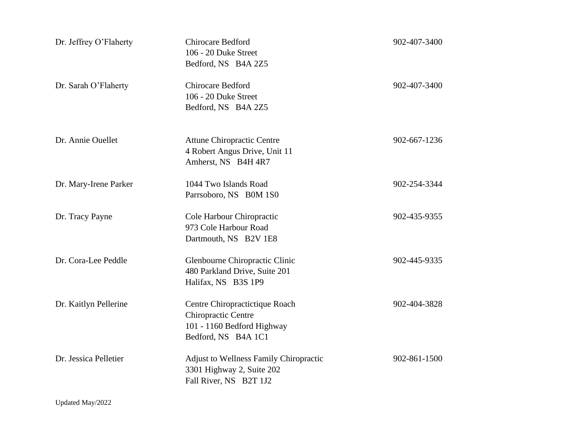| Dr. Jeffrey O'Flaherty | <b>Chirocare Bedford</b><br>106 - 20 Duke Street<br>Bedford, NS B4A 2Z5                                    | 902-407-3400 |
|------------------------|------------------------------------------------------------------------------------------------------------|--------------|
| Dr. Sarah O'Flaherty   | Chirocare Bedford<br>106 - 20 Duke Street<br>Bedford, NS B4A 2Z5                                           | 902-407-3400 |
| Dr. Annie Ouellet      | <b>Attune Chiropractic Centre</b><br>4 Robert Angus Drive, Unit 11<br>Amherst, NS B4H 4R7                  | 902-667-1236 |
| Dr. Mary-Irene Parker  | 1044 Two Islands Road<br>Parrsoboro, NS B0M 1S0                                                            | 902-254-3344 |
| Dr. Tracy Payne        | Cole Harbour Chiropractic<br>973 Cole Harbour Road<br>Dartmouth, NS B2V 1E8                                | 902-435-9355 |
| Dr. Cora-Lee Peddle    | Glenbourne Chiropractic Clinic<br>480 Parkland Drive, Suite 201<br>Halifax, NS B3S 1P9                     | 902-445-9335 |
| Dr. Kaitlyn Pellerine  | Centre Chiropractictique Roach<br>Chiropractic Centre<br>101 - 1160 Bedford Highway<br>Bedford, NS B4A 1C1 | 902-404-3828 |
| Dr. Jessica Pelletier  | <b>Adjust to Wellness Family Chiropractic</b><br>3301 Highway 2, Suite 202<br>Fall River, NS B2T 1J2       | 902-861-1500 |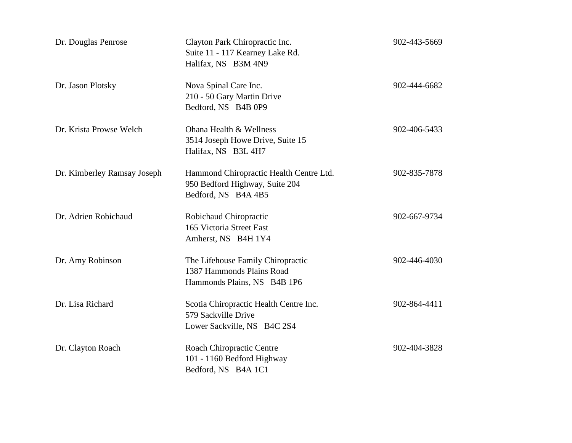| Dr. Douglas Penrose         | Clayton Park Chiropractic Inc.<br>Suite 11 - 117 Kearney Lake Rd.<br>Halifax, NS B3M 4N9         | 902-443-5669 |
|-----------------------------|--------------------------------------------------------------------------------------------------|--------------|
| Dr. Jason Plotsky           | Nova Spinal Care Inc.<br>210 - 50 Gary Martin Drive<br>Bedford, NS B4B 0P9                       | 902-444-6682 |
| Dr. Krista Prowse Welch     | Ohana Health & Wellness<br>3514 Joseph Howe Drive, Suite 15<br>Halifax, NS B3L 4H7               | 902-406-5433 |
| Dr. Kimberley Ramsay Joseph | Hammond Chiropractic Health Centre Ltd.<br>950 Bedford Highway, Suite 204<br>Bedford, NS B4A 4B5 | 902-835-7878 |
| Dr. Adrien Robichaud        | Robichaud Chiropractic<br>165 Victoria Street East<br>Amherst, NS B4H 1Y4                        | 902-667-9734 |
| Dr. Amy Robinson            | The Lifehouse Family Chiropractic<br>1387 Hammonds Plains Road<br>Hammonds Plains, NS B4B 1P6    | 902-446-4030 |
| Dr. Lisa Richard            | Scotia Chiropractic Health Centre Inc.<br>579 Sackville Drive<br>Lower Sackville, NS B4C 2S4     | 902-864-4411 |
| Dr. Clayton Roach           | Roach Chiropractic Centre<br>101 - 1160 Bedford Highway<br>Bedford, NS B4A 1C1                   | 902-404-3828 |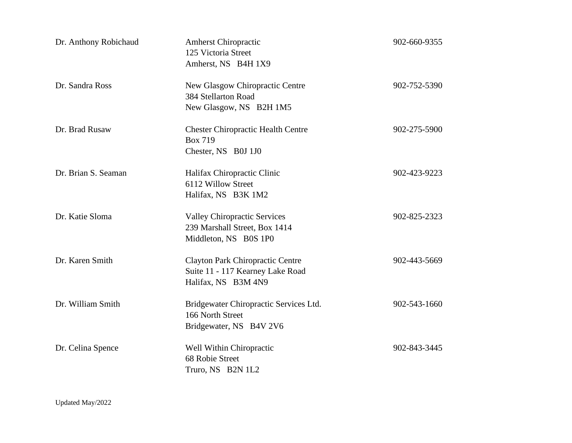| Dr. Anthony Robichaud | <b>Amherst Chiropractic</b><br>125 Victoria Street<br>Amherst, NS B4H 1X9                          | 902-660-9355 |
|-----------------------|----------------------------------------------------------------------------------------------------|--------------|
| Dr. Sandra Ross       | New Glasgow Chiropractic Centre<br>384 Stellarton Road<br>New Glasgow, NS B2H 1M5                  | 902-752-5390 |
| Dr. Brad Rusaw        | <b>Chester Chiropractic Health Centre</b><br><b>Box 719</b><br>Chester, NS B0J 1J0                 | 902-275-5900 |
| Dr. Brian S. Seaman   | Halifax Chiropractic Clinic<br>6112 Willow Street<br>Halifax, NS B3K 1M2                           | 902-423-9223 |
| Dr. Katie Sloma       | <b>Valley Chiropractic Services</b><br>239 Marshall Street, Box 1414<br>Middleton, NS B0S 1P0      | 902-825-2323 |
| Dr. Karen Smith       | <b>Clayton Park Chiropractic Centre</b><br>Suite 11 - 117 Kearney Lake Road<br>Halifax, NS B3M 4N9 | 902-443-5669 |
| Dr. William Smith     | Bridgewater Chiropractic Services Ltd.<br>166 North Street<br>Bridgewater, NS B4V 2V6              | 902-543-1660 |
| Dr. Celina Spence     | Well Within Chiropractic<br>68 Robie Street<br>Truro, NS B2N 1L2                                   | 902-843-3445 |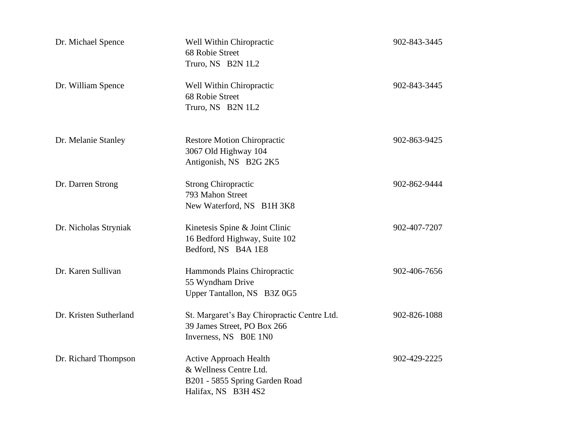| Dr. Michael Spence     | Well Within Chiropractic<br>68 Robie Street<br>Truro, NS B2N 1L2                                                 | 902-843-3445 |
|------------------------|------------------------------------------------------------------------------------------------------------------|--------------|
| Dr. William Spence     | Well Within Chiropractic<br>68 Robie Street<br>Truro, NS B2N 1L2                                                 | 902-843-3445 |
| Dr. Melanie Stanley    | <b>Restore Motion Chiropractic</b><br>3067 Old Highway 104<br>Antigonish, NS B2G 2K5                             | 902-863-9425 |
| Dr. Darren Strong      | <b>Strong Chiropractic</b><br>793 Mahon Street<br>New Waterford, NS B1H 3K8                                      | 902-862-9444 |
| Dr. Nicholas Stryniak  | Kinetesis Spine & Joint Clinic<br>16 Bedford Highway, Suite 102<br>Bedford, NS B4A 1E8                           | 902-407-7207 |
| Dr. Karen Sullivan     | Hammonds Plains Chiropractic<br>55 Wyndham Drive<br>Upper Tantallon, NS B3Z 0G5                                  | 902-406-7656 |
| Dr. Kristen Sutherland | St. Margaret's Bay Chiropractic Centre Ltd.<br>39 James Street, PO Box 266<br>Inverness, NS B0E 1N0              | 902-826-1088 |
| Dr. Richard Thompson   | <b>Active Approach Health</b><br>& Wellness Centre Ltd.<br>B201 - 5855 Spring Garden Road<br>Halifax, NS B3H 4S2 | 902-429-2225 |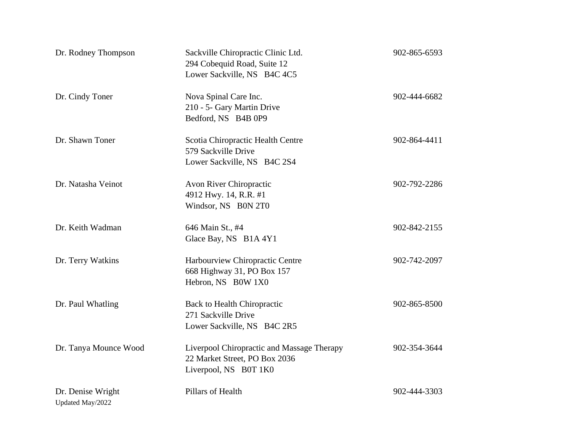| Dr. Rodney Thompson                   | Sackville Chiropractic Clinic Ltd.<br>294 Cobequid Road, Suite 12<br>Lower Sackville, NS B4C 4C5     | 902-865-6593 |
|---------------------------------------|------------------------------------------------------------------------------------------------------|--------------|
| Dr. Cindy Toner                       | Nova Spinal Care Inc.<br>210 - 5- Gary Martin Drive<br>Bedford, NS B4B 0P9                           | 902-444-6682 |
| Dr. Shawn Toner                       | Scotia Chiropractic Health Centre<br>579 Sackville Drive<br>Lower Sackville, NS B4C 2S4              | 902-864-4411 |
| Dr. Natasha Veinot                    | Avon River Chiropractic<br>4912 Hwy. 14, R.R. #1<br>Windsor, NS B0N 2T0                              | 902-792-2286 |
| Dr. Keith Wadman                      | 646 Main St., #4<br>Glace Bay, NS B1A 4Y1                                                            | 902-842-2155 |
| Dr. Terry Watkins                     | Harbourview Chiropractic Centre<br>668 Highway 31, PO Box 157<br>Hebron, NS B0W 1X0                  | 902-742-2097 |
| Dr. Paul Whatling                     | <b>Back to Health Chiropractic</b><br>271 Sackville Drive<br>Lower Sackville, NS B4C 2R5             | 902-865-8500 |
| Dr. Tanya Mounce Wood                 | Liverpool Chiropractic and Massage Therapy<br>22 Market Street, PO Box 2036<br>Liverpool, NS B0T 1K0 | 902-354-3644 |
| Dr. Denise Wright<br>Updated May/2022 | Pillars of Health                                                                                    | 902-444-3303 |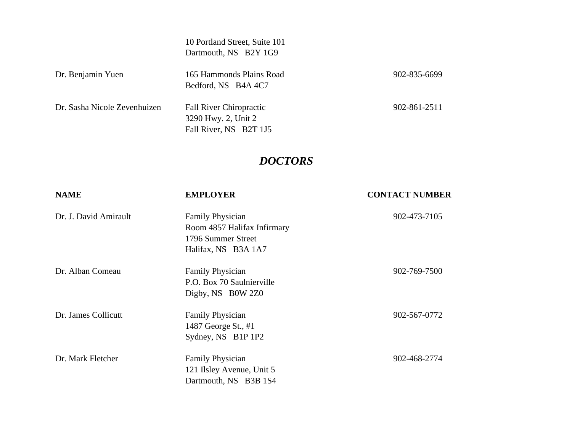10 Portland Street, Suite 101 Dartmouth, NS B2Y 1G9

| Dr. Benjamin Yuen            | 165 Hammonds Plains Road<br>Bedford, NS B4A 4C7                                 | 902-835-6699 |
|------------------------------|---------------------------------------------------------------------------------|--------------|
| Dr. Sasha Nicole Zevenhuizen | <b>Fall River Chiropractic</b><br>3290 Hwy. 2, Unit 2<br>Fall River, NS B2T 1J5 | 902-861-2511 |

## *DOCTORS*

| <b>NAME</b>           | <b>EMPLOYER</b>                                                                                     | <b>CONTACT NUMBER</b> |
|-----------------------|-----------------------------------------------------------------------------------------------------|-----------------------|
| Dr. J. David Amirault | <b>Family Physician</b><br>Room 4857 Halifax Infirmary<br>1796 Summer Street<br>Halifax, NS B3A 1A7 | 902-473-7105          |
| Dr. Alban Comeau      | <b>Family Physician</b><br>P.O. Box 70 Saulnierville<br>Digby, NS B0W 2Z0                           | 902-769-7500          |
| Dr. James Collicutt   | <b>Family Physician</b><br>1487 George St., #1<br>Sydney, NS B1P 1P2                                | 902-567-0772          |
| Dr. Mark Fletcher     | <b>Family Physician</b><br>121 Ilsley Avenue, Unit 5<br>Dartmouth, NS B3B 1S4                       | 902-468-2774          |